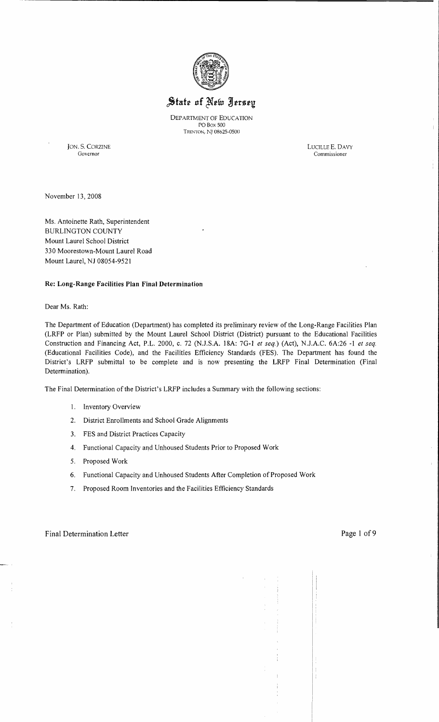

# State of New Jersey

DEPARTMENT OF EDUCATION POBox 500 TRENTON, NJ 08625-0500

JON. S. CORZINE LUCILLE E. DAVY

Governor Commissioner

 $\mathbf{r}$ 

 $\overline{1}$ 

November 13,2008

Ms. Antoinette Rath, Superintendent BURLINGTON COUNTY Mount Laurel School District 330 Moorestown-Mount Laurel Road Mount Laurel, NJ 08054-9521

#### Re: Long-Range Facilities Plan Final Determination

Dear Ms. Rath:

The Department of Education (Department) has completed its preliminary review of the Long-Range Facilities Plan (LRFP or Plan) submitted by the Mount Laurel School District (District) pursuant to the Educational Facilities Construction and Financing Act, P.L. 2000, c. 72 (NJ.S.A. 18A: 7G-I *et seq.)* (Act), NJ.A.C. 6A:26 -I *et seq.*  (Educational Facilities Code), and the Facilities Efficiency Standards (FES). The Department has found the District's LRFP submittal to be complete and is now presenting the LRFP Final Determination (Final Determination).

The Final Determination of the District's LRFP includes a Summary with the following sections:

- 1. Inventory Overview
- 2. District Enrollments and School Grade Alignments
- 3. FES and District Practices Capacity
- 4. Functional Capacity and Unhoused Students Prior to Proposed Work
- 5. Proposed Work
- 6. Functional Capacity and Unhoused Students After Completion of Proposed Work
- 7. Proposed Room Inventories and the Facilities Efficiency Standards

Final Determination Letter Page 1 of 9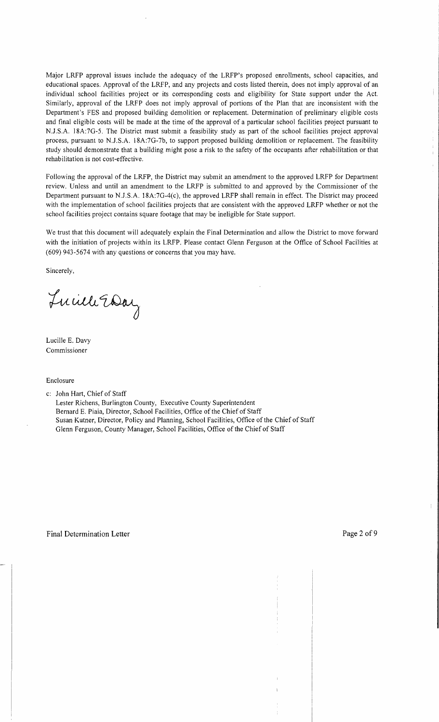Major LRFP approval issues include the adequacy of the LRFP's proposed enrollments, school capacities, and educational spaces. Approval of the LRFP, and any projects and costs listed therein, does not imply approval of an individual school facilities project or its corresponding costs and eligibility for State support under the Act. Similarly, approval of the LRFP does not imply approval of portions of the Plan that are inconsistent with the Department's FES and proposed building demolition or replacement. Determination of preliminary eligible costs and final eligible costs will be made at the time of the approval of a particular school facilities project pursuant to N.J.S.A. l8A:7G-5. The District must submit a feasibility study as part of the school facilities project approval process, pursuant to N.J .S.A. 18A:7G-7b, to support proposed building demolition or replacement. The feasibility study should demonstrate that a building might pose a risk to the safety of the occupants after rehabilitation or that rehabilitation is not cost-effective.

Following the approval of the LRFP, the District may submit an amendment to the approved LRFP for Department review. Unless and until an amendment to the LRFP is submitted to and approved by the Commissioner of the Department pursuant to N.J.S.A. 18A:7G-4(c), the approved LRFP shall remain in effect. The District may proceed with the implementation of school facilities projects that are consistent with the approved LRFP whether or not the school facilities project contains square footage that may be ineligible for State support.

We trust that this document will adequately explain the Final Determination and allow the District to move forward with the initiation of projects within its LRFP. Please contact Glenn Ferguson at the Office of School Facilities at (609) 943-5674 with any questions or concerns that you may have.

Sincerely,

Lucille Eday

Lucille E. Davy Commissioner

Enclosure

c: John Hart, Chief of Staff

Lester Richens, Burlington County, Executive County Superintendent Bernard E. Piaia, Director, School Facilities, Office of the Chief of Staff Susan Kutner, Director, Policy and Planning, School Facilities, Office of the Chief of Staff Glenn Ferguson, County Manager, School Facilities, Office of the Chief of Staff

Ť

 $\frac{1}{4}$  $\bar{1}$  $\bar{\Gamma}$  $\bar{1}$ 

Ţ.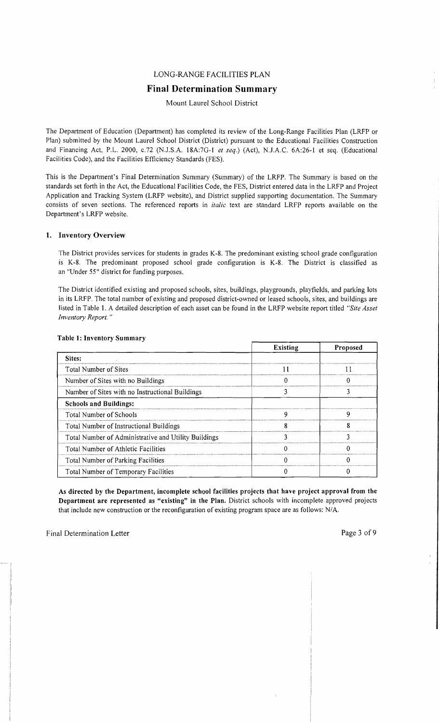## LONG-RANGE FACILITIES PLAN

## **Final Determination Summary**

Mount Laurel School District

The Department of Education (Department) has completed its review of the Long-Range Facilities Plan (LRFP or Plan) submitted by the Mount Laurel School District (District) pursuant to the Educational Facilities Construction and Financing Act, P.L. 2000, c.72 (N.J.S.A. 18A:7G-1 et seq.) (Act), N.J.A.C. 6A:26-1 et seq. (Educational Facilities Code), and the Facilities Efficiency Standards (FES).

This is the Department's Final Determination Summary (Summary) of the LRFP. The Summary is based on the standards set forth in the Act, the Educational Facilities Code, the FES, District entered data in the LRFP and Project Application and Tracking System (LRFP website), and District supplied supporting documentation. The Summary consists of seven sections. The referenced reports in *italic* text are standard LRFP reports available on the Department's LRFP website.

#### 1. Inventory Overview

The District provides services for students in grades K-8. The predominant existing school grade configuration is K-8. The predominant proposed school grade configuration is K-8. The District is classified as an "Under 55" district for funding purposes.

The District identified existing and proposed schools, sites, buildings, playgrounds, playfields, and parking lots in its LRFP. The total number of existing and proposed district-owned or leased schools, sites, and buildings are listed in Table 1. A detailed description of each asset can be found in the LRFP website report titled *"Site Asset Inventory Report. "* 

|                                                      | <b>Existing</b> | Proposed |
|------------------------------------------------------|-----------------|----------|
| Sites:                                               |                 |          |
| Total Number of Sites                                |                 |          |
| Number of Sites with no Buildings                    |                 |          |
| Number of Sites with no Instructional Buildings      |                 |          |
| <b>Schools and Buildings:</b>                        |                 |          |
| <b>Total Number of Schools</b>                       | Q               | Q        |
| Total Number of Instructional Buildings              |                 |          |
| Total Number of Administrative and Utility Buildings |                 |          |
| Total Number of Athletic Facilities                  |                 |          |
| Total Number of Parking Facilities                   |                 |          |
| Total Number of Temporary Facilities                 |                 |          |

#### Table l' Inventory Summary

As directed by the Department, incomplete school facilities projects that have project approval from the Department are represented as "existing" in the Plan. District schools with incomplete approved projects that include new construction or the reconfiguration of existing program space are as follows: N/A.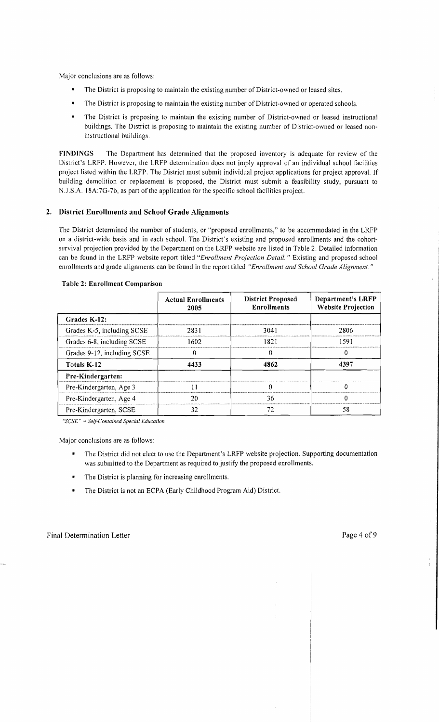Major conclusions are as follows:

- The District is proposing to maintain the existing number of District-owned or leased sites.
- The District is proposing to maintain the existing number of District-owned or operated schools.
- The District is proposing to maintain the existing number of District-owned or leased instructional buildings. The District is proposing to maintain the existing number of District-owned or leased noninstructional buildings.

FINDINGS The Department has determined that the proposed inventory is adequate for review of the District's LRFP. However, the LRFP determination does not imply approval of an individual school facilities project listed within the LRFP. The District must submit individual project applications for project approval. If building demolition or replacement is proposed, the District must submit a feasibility study, pursuant to NJ.S.A. l8A:7G-7b, as part of the application for the specific school facilities project.

## 2. District Enrollments and School Grade Alignments

The District determined the number of students, or "proposed enrollments," to be accommodated in the LRFP on a district-wide basis and in each school. The District's existing and proposed enrollments and the cohortsurvival projection provided by the Department on the LRFP website are listed in Table 2. Detailed information can be found in the LRFP website report titled *"Enrollment Projection Detail.* " Existing and proposed school enrollments and grade alignments can be found in the report titled *"Enrollment and School Grade Alignment. "* 

|                             | <b>Actual Enrollments</b><br>2005 | <b>District Proposed</b><br><b>Enrollments</b> | Department's LRFP<br><b>Website Projection</b> |
|-----------------------------|-----------------------------------|------------------------------------------------|------------------------------------------------|
| Grades K-12:                |                                   |                                                |                                                |
| Grades K-5, including SCSE  | 2831                              | 3041                                           | 2806                                           |
| Grades 6-8, including SCSE  | 1602                              | 1821                                           | 1591                                           |
| Grades 9-12, including SCSE |                                   |                                                | €                                              |
| Totals K-12                 | 4433                              | 4862                                           | 4397                                           |
| Pre-Kindergarten:           |                                   |                                                |                                                |
| Pre-Kindergarten, Age 3     |                                   |                                                | n                                              |
| Pre-Kindergarten, Age 4     | 20                                | 36                                             | ∩                                              |
| Pre-Kindergarten, SCSE      | 32                                | 72                                             | 58                                             |

#### Table 2: Enrollment Comparison

*"SCSE"* = *Self-Contained Special Educallon* 

Major conclusions are as follows:

- The District did not elect to use the Department's LRFP website projection. Supporting documentation was submitted to the Department as required to justify the proposed enrollments.
- The District is planning for increasing enrollments.
- The District is not an ECPA (Early Childhood Program Aid) District.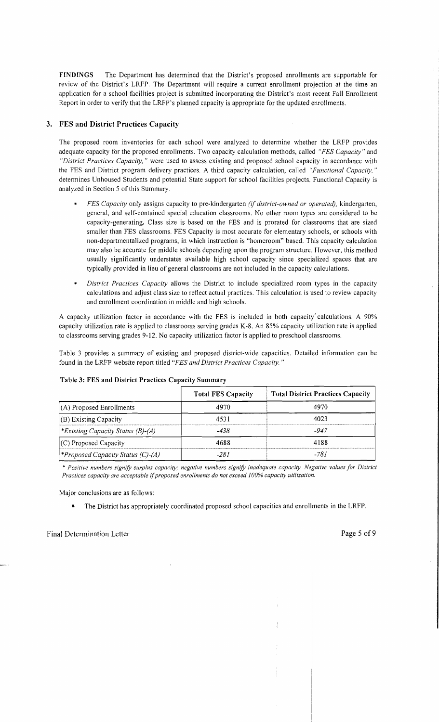FINDINGS The Department has determined that the District's proposed enrollments are supportable for review of the District's LRFP. The Department will require a current enrollment projection at the time an application for a school facilities project is submitted incorporating the District's most recent Fall Enrollment Report in order to verify that the LRFP's planned capacity is appropriate for the updated enrollments.

## 3. FES and District Practices Capacity

The proposed room inventories for each school were analyzed to determine whether the LRFP provides adequate capacity for the proposed enrollments. Two capacity calculation methods, called *"FES Capacity"* and *"District Practices Capacity,* " were used to assess existing and proposed school capacity in accordance with the FES and District program delivery practices. A third capacity calculation, called *"Functional Capacity, "*  determines Unhoused Students and potential State support for school facilities projects. Functional Capacity is analyzed in Section 5 of this Summary.

- *FES Capacity* only assigns capacity to pre-kindergarten *(if district-owned or operated),* kindergarten, general, and self-contained special education classrooms, No other room types are considered to be capacity-generating. Class size is based on the FES and is prorated for classrooms that are sized smaller than FES classrooms. FES Capacity is most accurate for elementary schools, or schools with non-departmentalized programs, in which instruction is "homeroom" based. This capacity calculation may also be accurate for middle schools depending upon the program structure. However, this method usually significantly understates available high school capacity since specialized spaces that are typically provided in lieu of general Classrooms are not included in the capacity calculations.
- *District Practices Capacity* allows the District to include specialized room types in the capacity calculations and adjust class size to reflect actual practices. This calculation is used to review capacity and enrollment coordination in middle and high schools.

A capacity utilization factor in accordance with the FES is included in both capacity' calculations. A 90% capacity utilization rate is applied to classrooms serving grades K-8. An 85% capacity utilization rate is applied to classrooms serving grades 9-12. No capacity utilization factor is applied to preschool classrooms.

Table 3 provides a summary of existing and proposed district-wide capacities. Detailed information can be found in the LRFP website report titled *"FES and District Practices Capacity. "* 

|                                         | <b>Total FES Capacity</b> | <b>Total District Practices Capacity</b> |
|-----------------------------------------|---------------------------|------------------------------------------|
| $(A)$ Proposed Enrollments              | 4970                      | 4970                                     |
| $(B)$ Existing Capacity                 | 4531                      | 4023                                     |
| <i>Existing Capacity Status (B)-(A)</i> | -438                      | $-947$                                   |
| (C) Proposed Capacity                   | 4688                      | 4188                                     |
| <i>Froposed Capacity Status (C)-(A)</i> | -281                      | -781                                     |

#### Table 3: FES and District Practices Capacity Summary

\* *Positive numbers signify surplus capacity; negative numbers signify inadequate capacity. Negative values for District Practices capacity are acceptable ijproposed enrollments do not exceed 100% capacity utilization.* 

Major conclusions are as follows:

• The District has appropriately coordinated proposed school capacities and enrollments in the LRFP.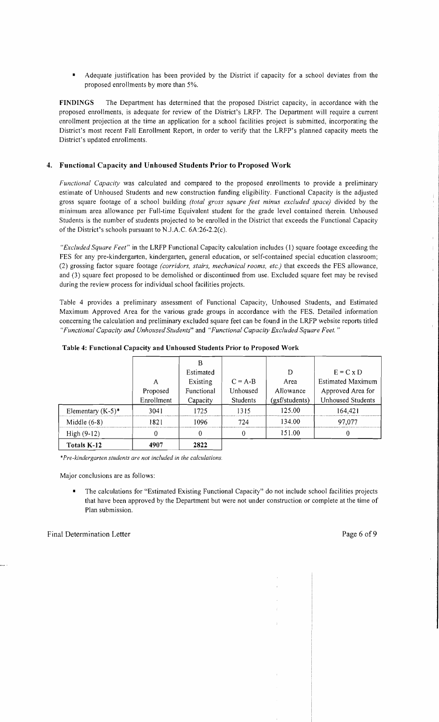• Adequate justification has been provided by the District if capacity for a school deviates from the proposed enrollments by more than 5%.

**FINDINGS** The Department has determined that the proposed District capacity, in accordance with the proposed enrollments, is adequate for review of the District's LRFP. The Department will require a current enrollment projection at the time an application for a school facilities project is submitted, incorporating the District's most recent Fall Enrollment Report, in order to verify that the LRFP's planned capacity meets the District's updated enrollments.

## **4. Functional Capacity and Unhoused Students Prior to Proposed Work**

*Functional Capacity* was calculated and compared to the proposed enrollments to provide a preliminary estimate of Unhoused Students and new construction funding eligibility. Functional Capacity is the adjusted gross square footage of a school building *(total gross square feet minus excluded space)* divided by the minimum area allowance per Full-time Equivalent student for the grade level contained therein. Unhoused Students is the number of students projected to be enrolled in the District that exceeds the Functional Capacity of the District's schools pursuant to NJ.A.C. 6A:26-2.2(c).

*"Excluded Square Feet"* in the LRFP Functional Capacity calculation includes (1) square footage exceeding the FES for any pre-kindergarten, kindergarten, general education, or self-contained special education classroom; (2) grossing factor square footage *(corridors, stairs, mechanical rooms, etc.)* that exceeds the FES allowance, and (3) square feet proposed to be demolished or discontinued from use. Excluded square feet may be revised during the review process for individual school facilities projects.

Table 4 provides a preliminary assessment of Functional Capacity, Unhoused Students, and Estimated Maximum Approved Area for the various grade groups in accordance with the FES. Detailed information concerning the calculation and preliminary excluded square feet can be found in the LRFP website reports titled *"Functional Capacity and Unhoused Students"* and *"Functional Capacity Excluded Square Feet. "* 

|                      |            | B          |           |                |                          |
|----------------------|------------|------------|-----------|----------------|--------------------------|
|                      |            | Estimated  |           | D              | $E = C \times D$         |
|                      | A          | Existing   | $C = A-B$ | Area           | <b>Estimated Maximum</b> |
|                      | Proposed   | Functional | Unhoused  | Allowance      | Approved Area for        |
|                      | Enrollment | Capacity   | Students  | (gsf/students) | <b>Unhoused Students</b> |
| Elementary $(K-5)^*$ | 3041       | 1725       | 1315      | 125.00         | 164,421                  |
| Middle $(6-8)$       | 1821       | 1096       | 724       | 134.00         | 97,077                   |
| High $(9-12)$        | 0          | $\theta$   |           | 151.00         |                          |
| Totals K-12          | 4907       | 2822       |           |                |                          |

| Table 4: Functional Capacity and Unhoused Students Prior to Proposed Work |
|---------------------------------------------------------------------------|
|---------------------------------------------------------------------------|

*\*Pre-kindergarten students are not included in the calculations,* 

Major conclusions are as follows:

The calculations for "Estimated Existing Functional Capacity" do not include school facilities projects that have been approved by the Department but were not under construction or complete at the time of Plan submission.

 $\mathbf{r}$ ÷

 $\hat{L}$ 

÷.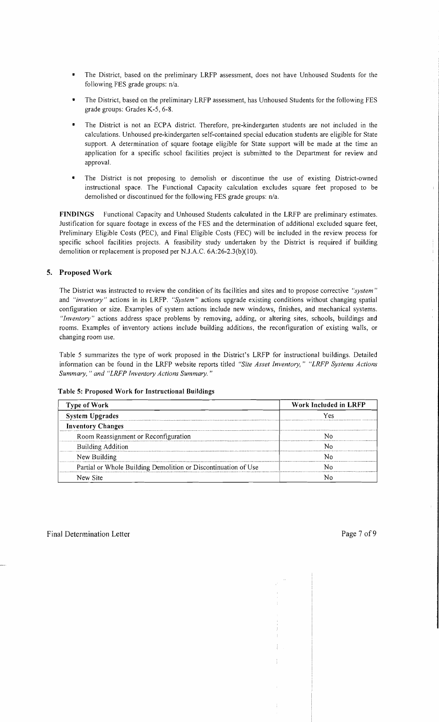- The District, based on the preliminary LRFP assessment, does not have Unhoused Students for the following FES grade groups: n/a.
- The District, based on the preliminary LRFP assessment, has Unhoused Students for the following FES grade groups: Grades K-5, 6-8.
- The District is not an ECPA district. Therefore, pre-kindergarten students are not included in the calculations. Unhoused pre-kindergarten self-contained special education students are eligible for State support. A determination of square footage eligible for State support will be made at the time an application for a specific school facilities project is submitted to the Department for review and approval.
- The District is not proposing to demolish or discontinue the use of existing District-owned instructional space. The Functional Capacity calculation excludes square feet proposed to be demolished or discontinued for the following FES grade groups: n/a.

FINDINGS Functional Capacity and Unhoused Students calculated in the LRFP are preliminary estimates. Justification for square footage in excess of the FES and the determination of additional excluded square feet, Preliminary Eligible Costs (PEC), and Final Eligible Costs (FEC) will be included in the review process for specific school facilities projects. A feasibility study undertaken by the District is required if building demolition or replacement is proposed per N.J.A.C. 6A:26-2.3(b)(10).

## 5. Proposed Work

The District was instructed to review the condition of its facilities and sites and to propose corrective *"system"*  and *"inventory"* actions in its LRFP. *"System"* actions upgrade existing conditions without changing spatial configuration or size. Examples of system actions include new windows, finishes, and mechanical systems. *"Inventory"* actions address space problems by removing, adding, or altering sites, schools, buildings and rooms. Examples of inventory actions include building additions, the reconfiguration of existing walls, or changing room use.

Table 5 summarizes the type of work proposed in the District's LRFP for instructional buildings. Detailed information can be found in the LRFP website reports titled *"Site Asset Inventory," "LRFP Systems Actions Summary,* " *and "LRFP Inventory Actions Summary. "* 

| Table 5: Proposed Work for Instructional Buildings |  |  |
|----------------------------------------------------|--|--|
|                                                    |  |  |

| Type of Work                                                   | Work Included in LRFP |  |  |
|----------------------------------------------------------------|-----------------------|--|--|
| <b>System Upgrades</b>                                         | Yes                   |  |  |
| <b>Inventory Changes</b>                                       |                       |  |  |
| Room Reassignment or Reconfiguration                           |                       |  |  |
| <b>Building Addition</b>                                       |                       |  |  |
| New Building                                                   |                       |  |  |
| Partial or Whole Building Demolition or Discontinuation of Use |                       |  |  |
| New Site                                                       |                       |  |  |

 $\begin{array}{c} \frac{1}{2} \\ \frac{1}{2} \end{array}$  $\hat{r}$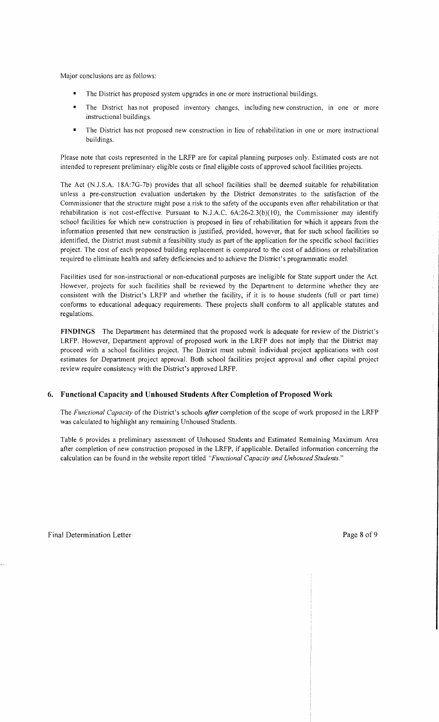Major conclusions are as follows:

- The District has proposed system upgrades in one or more instructional buildings.
- The District has not proposed inventory changes, including new construction, in one or more instructional buildings.
- The District has not proposed new construction in lieu of rehabilitation in one or more instructional buildings.

Please note that costs represented in the LRFP are for capital planning purposes only. Estimated costs are not intended to represent preliminary eligible costs or final eligible costs of approved school facilities projects.

The Act (NJ.S.A. l8A:7G-7b) provides that all school facilities shall be deemed suitable for rehabilitation unless a pre-construction evaluation undertaken by the District demonstrates to the satisfaction of the Commissioner that the structure might pose a risk to the safety of the occupants even after rehabilitation or that rehabilitation is not cost-effective. Pursuant to N.J.A.C. 6A:26-2.3(b)(10), the Commissioner may identify school facilities for which new construction is proposed in lieu of rehabilitation for which it appears from the information presented that new construction is justified, provided, however, that for such school facilities so identified, the District must submit a feasibility study as part of the application for the specific school facilities project. The cost of each proposed building replacement is compared to the cost of additions or rehabilitation required to eliminate health and safety deficiencies and to achieve the District's programmatic model.

Facilities used for non-instructional or non-educational purposes are ineligible for State support under the Act. However, projects for such facilities shall be reviewed by the Department to determine whether they are consistent with the District's LRFP and whether the facility, if it is to house students (full or part time) conforms to educational adequacy requirements. These projects shall conform to all applicable statutes and regulations.

**FINDINGS** The Department has determined that the proposed work is adequate for review of the District's LRFP. However, Department approval of proposed work in the LRFP does not imply that the District may proceed with a school facilities project. The District must submit individual project applications with cost estimates for Department project approval. Both school facilities project approval and other capital project review require consistency with the District's approved LRFP.

## **6. Functional Capacity and Unhoused Students After Completion** of Proposed **Work**

The *Functional Capacity* of the District's schools *after* completion of the scope of work proposed in the LRFP was calculated to highlight any remaining Unhoused Students.

Table 6 provides a preliminary assessment of Unhoused Students and Estimated Remaining Maximum Area after compietion of new construction proposed in the LRFP, if applicable. Detailed information concerning the calculation can be found in the website report titled *"Functional Capacity and Unhoused Students."* 

 $\mathcal{L}$  $\hat{\mathcal{V}}$  $\frac{1}{2}$ ÷.

 $\hat{\Gamma}$  $\mathbf{r}$